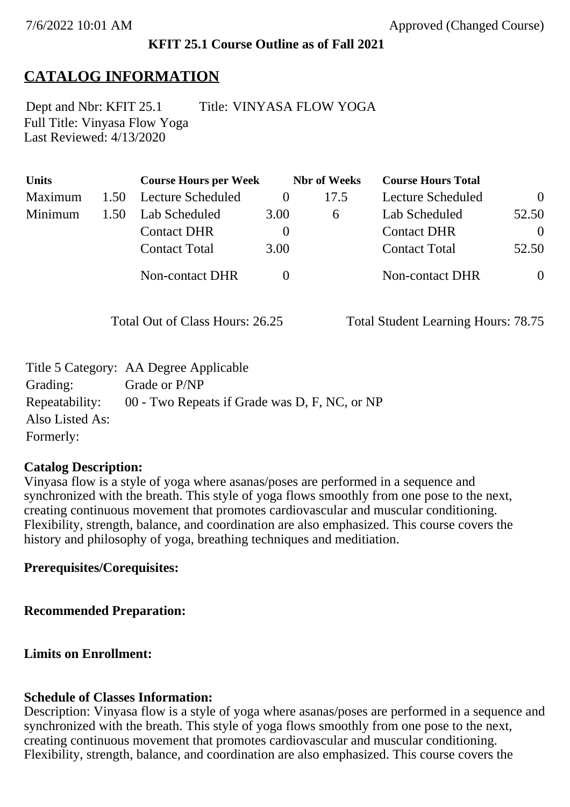### **KFIT 25.1 Course Outline as of Fall 2021**

# **CATALOG INFORMATION**

Full Title: Vinyasa Flow Yoga Last Reviewed: 4/13/2020 Dept and Nbr: KFIT 25.1 Title: VINYASA FLOW YOGA

| <b>Units</b> |      | <b>Course Hours per Week</b> |          | <b>Nbr</b> of Weeks | <b>Course Hours Total</b> |                |
|--------------|------|------------------------------|----------|---------------------|---------------------------|----------------|
| Maximum      | 1.50 | Lecture Scheduled            | $\theta$ | 17.5                | Lecture Scheduled         | $\overline{0}$ |
| Minimum      | 1.50 | Lab Scheduled                | 3.00     | 6                   | Lab Scheduled             | 52.50          |
|              |      | <b>Contact DHR</b>           | $\theta$ |                     | <b>Contact DHR</b>        | $\Omega$       |
|              |      | <b>Contact Total</b>         | 3.00     |                     | <b>Contact Total</b>      | 52.50          |
|              |      | Non-contact DHR              |          |                     | <b>Non-contact DHR</b>    | $\overline{0}$ |

Total Out of Class Hours: 26.25 Total Student Learning Hours: 78.75

|                 | Title 5 Category: AA Degree Applicable        |
|-----------------|-----------------------------------------------|
| Grading:        | Grade or P/NP                                 |
| Repeatability:  | 00 - Two Repeats if Grade was D, F, NC, or NP |
| Also Listed As: |                                               |
| Formerly:       |                                               |

### **Catalog Description:**

Vinyasa flow is a style of yoga where asanas/poses are performed in a sequence and synchronized with the breath. This style of yoga flows smoothly from one pose to the next, creating continuous movement that promotes cardiovascular and muscular conditioning. Flexibility, strength, balance, and coordination are also emphasized. This course covers the history and philosophy of yoga, breathing techniques and meditiation.

### **Prerequisites/Corequisites:**

#### **Recommended Preparation:**

### **Limits on Enrollment:**

### **Schedule of Classes Information:**

Description: Vinyasa flow is a style of yoga where asanas/poses are performed in a sequence and synchronized with the breath. This style of yoga flows smoothly from one pose to the next, creating continuous movement that promotes cardiovascular and muscular conditioning. Flexibility, strength, balance, and coordination are also emphasized. This course covers the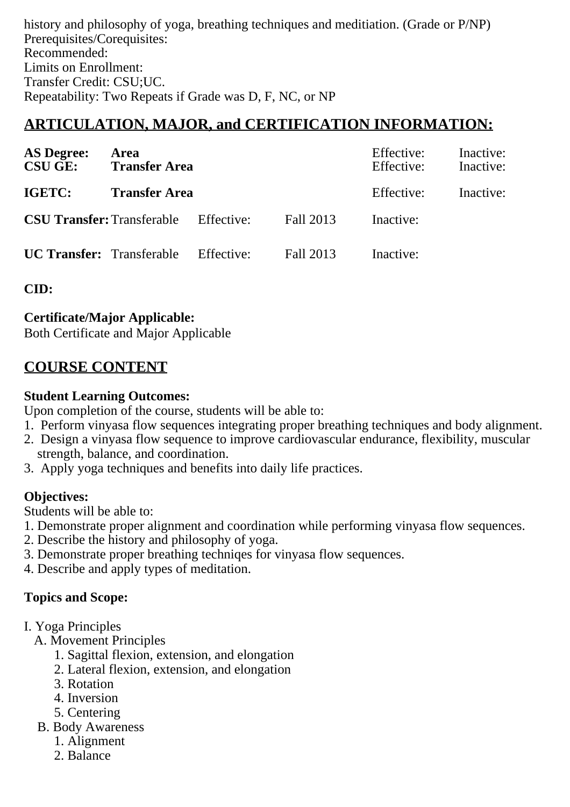history and philosophy of yoga, breathing techniques and meditiation. (Grade or P/NP) Prerequisites/Corequisites: Recommended: Limits on Enrollment: Transfer Credit: CSU;UC. Repeatability: Two Repeats if Grade was D, F, NC, or NP

# **ARTICULATION, MAJOR, and CERTIFICATION INFORMATION:**

| <b>AS Degree:</b><br><b>CSU GE:</b> | <b>Area</b><br><b>Transfer Area</b> |            | Effective:<br>Effective: | Inactive:<br>Inactive: |           |
|-------------------------------------|-------------------------------------|------------|--------------------------|------------------------|-----------|
| IGETC:                              | <b>Transfer Area</b>                |            |                          | Effective:             | Inactive: |
| <b>CSU Transfer: Transferable</b>   |                                     | Effective: | Fall 2013                | Inactive:              |           |
| <b>UC Transfer:</b> Transferable    |                                     | Effective: | Fall 2013                | Inactive:              |           |

**CID:**

### **Certificate/Major Applicable:**

[Both Certificate and Major Applicable](SR_ClassCheck.aspx?CourseKey=KFIT25.1)

## **COURSE CONTENT**

### **Student Learning Outcomes:**

Upon completion of the course, students will be able to:

- 1. Perform vinyasa flow sequences integrating proper breathing techniques and body alignment.
- 2. Design a vinyasa flow sequence to improve cardiovascular endurance, flexibility, muscular strength, balance, and coordination.
- 3. Apply yoga techniques and benefits into daily life practices.

### **Objectives:**

Students will be able to:

- 1. Demonstrate proper alignment and coordination while performing vinyasa flow sequences.
- 2. Describe the history and philosophy of yoga.
- 3. Demonstrate proper breathing techniqes for vinyasa flow sequences.
- 4. Describe and apply types of meditation.

## **Topics and Scope:**

- I. Yoga Principles
	- A. Movement Principles
		- 1. Sagittal flexion, extension, and elongation
		- 2. Lateral flexion, extension, and elongation
		- 3. Rotation
		- 4. Inversion
		- 5. Centering
	- B. Body Awareness
		- 1. Alignment
		- 2. Balance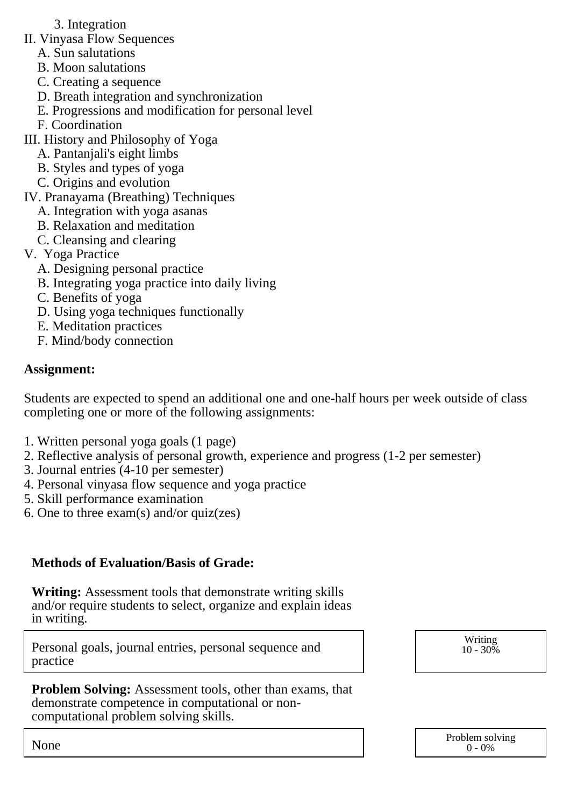- 3. Integration
- II. Vinyasa Flow Sequences
	- A. Sun salutations
	- B. Moon salutations
	- C. Creating a sequence
	- D. Breath integration and synchronization
	- E. Progressions and modification for personal level
	- F. Coordination
- III. History and Philosophy of Yoga
	- A. Pantanjali's eight limbs
	- B. Styles and types of yoga
	- C. Origins and evolution
- IV. Pranayama (Breathing) Techniques
	- A. Integration with yoga asanas
	- B. Relaxation and meditation
	- C. Cleansing and clearing
- V. Yoga Practice
	- A. Designing personal practice
	- B. Integrating yoga practice into daily living
	- C. Benefits of yoga
	- D. Using yoga techniques functionally
	- E. Meditation practices
	- F. Mind/body connection

### **Assignment:**

Students are expected to spend an additional one and one-half hours per week outside of class completing one or more of the following assignments:

- 1. Written personal yoga goals (1 page)
- 2. Reflective analysis of personal growth, experience and progress (1-2 per semester)
- 3. Journal entries (4-10 per semester)
- 4. Personal vinyasa flow sequence and yoga practice
- 5. Skill performance examination
- 6. One to three exam(s) and/or quiz(zes)

## **Methods of Evaluation/Basis of Grade:**

**Writing:** Assessment tools that demonstrate writing skills and/or require students to select, organize and explain ideas in writing.

Personal goals, journal entries, personal sequence and practice

**Problem Solving:** Assessment tools, other than exams, that demonstrate competence in computational or noncomputational problem solving skills.

Writing  $10 - 30\%$